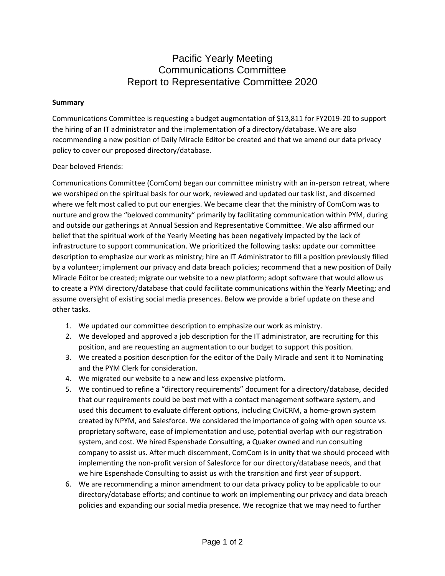### Pacific Yearly Meeting Communications Committee Report to Representative Committee 2020

#### **Summary**

Communications Committee is requesting a budget augmentation of \$13,811 for FY2019-20 to support the hiring of an IT administrator and the implementation of a directory/database. We are also recommending a new position of Daily Miracle Editor be created and that we amend our data privacy policy to cover our proposed directory/database.

#### Dear beloved Friends:

Communications Committee (ComCom) began our committee ministry with an in-person retreat, where we worshiped on the spiritual basis for our work, reviewed and updated our task list, and discerned where we felt most called to put our energies. We became clear that the ministry of ComCom was to nurture and grow the "beloved community" primarily by facilitating communication within PYM, during and outside our gatherings at Annual Session and Representative Committee. We also affirmed our belief that the spiritual work of the Yearly Meeting has been negatively impacted by the lack of infrastructure to support communication. We prioritized the following tasks: update our committee description to emphasize our work as ministry; hire an IT Administrator to fill a position previously filled by a volunteer; implement our privacy and data breach policies; recommend that a new position of Daily Miracle Editor be created; migrate our website to a new platform; adopt software that would allow us to create a PYM directory/database that could facilitate communications within the Yearly Meeting; and assume oversight of existing social media presences. Below we provide a brief update on these and other tasks.

- 1. We updated our committee description to emphasize our work as ministry.
- 2. We developed and approved a job description for the IT administrator, are recruiting for this position, and are requesting an augmentation to our budget to support this position.
- 3. We created a position description for the editor of the Daily Miracle and sent it to Nominating and the PYM Clerk for consideration.
- 4. We migrated our website to a new and less expensive platform.
- 5. We continued to refine a "directory requirements" document for a directory/database, decided that our requirements could be best met with a contact management software system, and used this document to evaluate different options, including CiviCRM, a home-grown system created by NPYM, and Salesforce. We considered the importance of going with open source vs. proprietary software, ease of implementation and use, potential overlap with our registration system, and cost. We hired Espenshade Consulting, a Quaker owned and run consulting company to assist us. After much discernment, ComCom is in unity that we should proceed with implementing the non-profit version of Salesforce for our directory/database needs, and that we hire Espenshade Consulting to assist us with the transition and first year of support.
- 6. We are recommending a minor amendment to our data privacy policy to be applicable to our directory/database efforts; and continue to work on implementing our privacy and data breach policies and expanding our social media presence. We recognize that we may need to further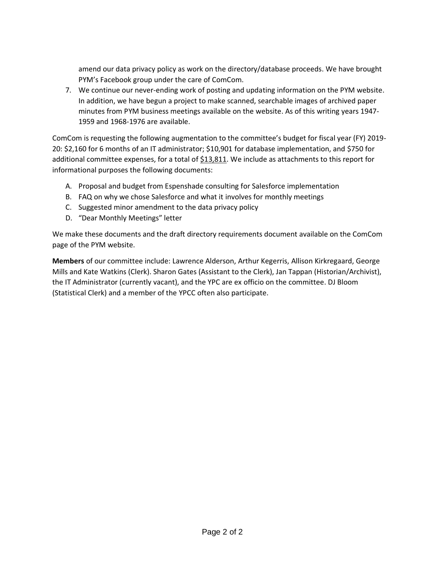amend our data privacy policy as work on the directory/database proceeds. We have brought PYM's Facebook group under the care of ComCom.

7. We continue our never-ending work of posting and updating information on the PYM website. In addition, we have begun a project to make scanned, searchable images of archived paper minutes from PYM business meetings available on the website. As of this writing years 1947- 1959 and 1968-1976 are available.

ComCom is requesting the following augmentation to the committee's budget for fiscal year (FY) 2019- 20: \$2,160 for 6 months of an IT administrator; \$10,901 for database implementation, and \$750 for additional committee expenses, for a total of  $$13,811$ . We include as attachments to this report for informational purposes the following documents:

- A. Proposal and budget from Espenshade consulting for Salesforce implementation
- B. FAQ on why we chose Salesforce and what it involves for monthly meetings
- C. Suggested minor amendment to the data privacy policy
- D. "Dear Monthly Meetings" letter

We make these documents and the draft directory requirements document available on the ComCom page of the PYM website.

**Members** of our committee include: Lawrence Alderson, Arthur Kegerris, Allison Kirkregaard, George Mills and Kate Watkins (Clerk). Sharon Gates (Assistant to the Clerk), Jan Tappan (Historian/Archivist), the IT Administrator (currently vacant), and the YPC are ex officio on the committee. DJ Bloom (Statistical Clerk) and a member of the YPCC often also participate.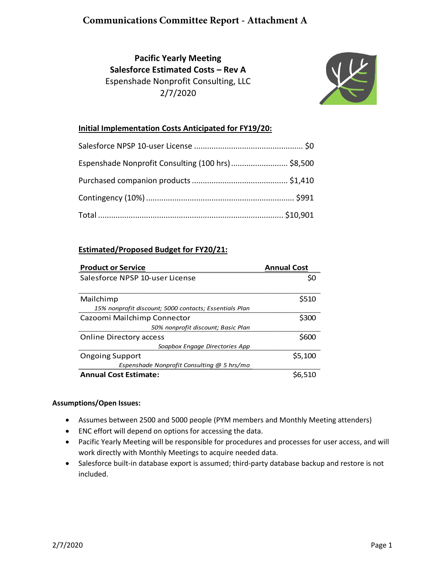### **Communications Committee Report - Attachment A**

### **Pacific Yearly Meeting Salesforce Estimated Costs – Rev A** Espenshade Nonprofit Consulting, LLC 2/7/2020



#### **Initial Implementation Costs Anticipated for FY19/20:**

| Espenshade Nonprofit Consulting (100 hrs)  \$8,500 |  |
|----------------------------------------------------|--|
|                                                    |  |
|                                                    |  |
|                                                    |  |

#### **Estimated/Proposed Budget for FY20/21:**

| <b>Product or Service</b>                              | <b>Annual Cost</b> |
|--------------------------------------------------------|--------------------|
| Salesforce NPSP 10-user License                        |                    |
| Mailchimp                                              | S510               |
| 15% nonprofit discount; 5000 contacts; Essentials Plan |                    |
| Cazoomi Mailchimp Connector                            | \$300              |
| 50% nonprofit discount; Basic Plan                     |                    |
| <b>Online Directory access</b>                         | S600               |
| Soapbox Engage Directories App                         |                    |
| <b>Ongoing Support</b>                                 | \$5,100            |
| Espenshade Nonprofit Consulting @ 5 hrs/mo             |                    |
| <b>Annual Cost Estimate:</b>                           |                    |

#### **Assumptions/Open Issues:**

- Assumes between 2500 and 5000 people (PYM members and Monthly Meeting attenders)
- ENC effort will depend on options for accessing the data.
- Pacific Yearly Meeting will be responsible for procedures and processes for user access, and will work directly with Monthly Meetings to acquire needed data.
- Salesforce built-in database export is assumed; third-party database backup and restore is not included.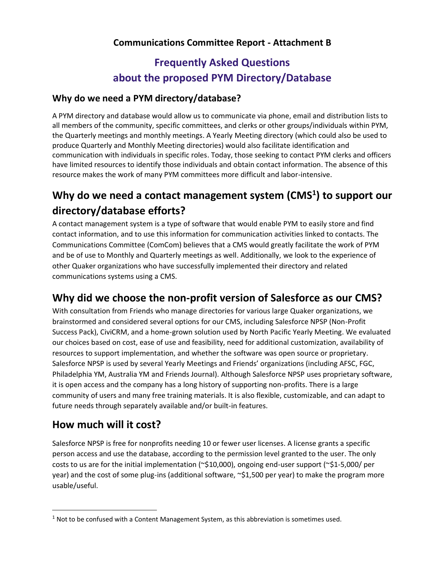### **Communications Committee Report - Attachment B**

# **Frequently Asked Questions about the proposed PYM Directory/Database**

### **Why do we need a PYM directory/database?**

A PYM directory and database would allow us to communicate via phone, email and distribution lists to all members of the community, specific committees, and clerks or other groups/individuals within PYM, the Quarterly meetings and monthly meetings. A Yearly Meeting directory (which could also be used to produce Quarterly and Monthly Meeting directories) would also facilitate identification and communication with individuals in specific roles. Today, those seeking to contact PYM clerks and officers have limited resources to identify those individuals and obtain contact information. The absence of this resource makes the work of many PYM committees more difficult and labor-intensive.

# **Why do we need a contact management system (CMS<sup>1</sup> ) to support our directory/database efforts?**

A contact management system is a type of software that would enable PYM to easily store and find contact information, and to use this information for communication activities linked to contacts. The Communications Committee (ComCom) believes that a CMS would greatly facilitate the work of PYM and be of use to Monthly and Quarterly meetings as well. Additionally, we look to the experience of other Quaker organizations who have successfully implemented their directory and related communications systems using a CMS.

## **Why did we choose the non-profit version of Salesforce as our CMS?**

With consultation from Friends who manage directories for various large Quaker organizations, we brainstormed and considered several options for our CMS, including Salesforce NPSP (Non-Profit Success Pack), CiviCRM, and a home-grown solution used by North Pacific Yearly Meeting. We evaluated our choices based on cost, ease of use and feasibility, need for additional customization, availability of resources to support implementation, and whether the software was open source or proprietary. Salesforce NPSP is used by several Yearly Meetings and Friends' organizations (including AFSC, FGC, Philadelphia YM, Australia YM and Friends Journal). Although Salesforce NPSP uses proprietary software, it is open access and the company has a long history of supporting non-profits. There is a large community of users and many free training materials. It is also flexible, customizable, and can adapt to future needs through separately available and/or built-in features.

## **How much will it cost?**

Salesforce NPSP is free for nonprofits needing 10 or fewer user licenses. A license grants a specific person access and use the database, according to the permission level granted to the user. The only costs to us are for the initial implementation (~\$10,000), ongoing end-user support (~\$1-5,000/ per year) and the cost of some plug-ins (additional software, ~\$1,500 per year) to make the program more usable/useful.

 $<sup>1</sup>$  Not to be confused with a Content Management System, as this abbreviation is sometimes used.</sup>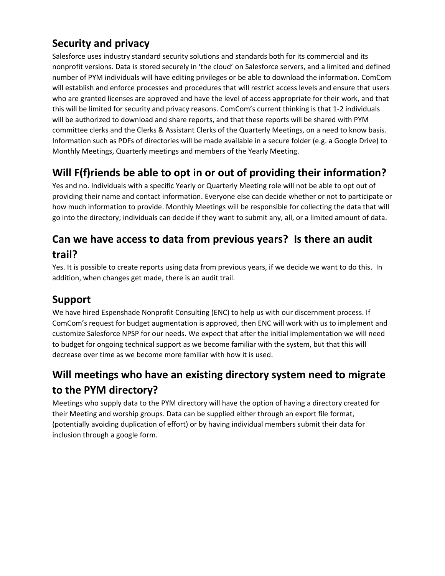## **Security and privacy**

Salesforce uses industry standard security solutions and standards both for its commercial and its nonprofit versions. Data is stored securely in 'the cloud' on Salesforce servers, and a limited and defined number of PYM individuals will have editing privileges or be able to download the information. ComCom will establish and enforce processes and procedures that will restrict access levels and ensure that users who are granted licenses are approved and have the level of access appropriate for their work, and that this will be limited for security and privacy reasons. ComCom's current thinking is that 1-2 individuals will be authorized to download and share reports, and that these reports will be shared with PYM committee clerks and the Clerks & Assistant Clerks of the Quarterly Meetings, on a need to know basis. Information such as PDFs of directories will be made available in a secure folder (e.g. a Google Drive) to Monthly Meetings, Quarterly meetings and members of the Yearly Meeting.

# **Will F(f)riends be able to opt in or out of providing their information?**

Yes and no. Individuals with a specific Yearly or Quarterly Meeting role will not be able to opt out of providing their name and contact information. Everyone else can decide whether or not to participate or how much information to provide. Monthly Meetings will be responsible for collecting the data that will go into the directory; individuals can decide if they want to submit any, all, or a limited amount of data.

# **Can we have access to data from previous years? Is there an audit trail?**

Yes. It is possible to create reports using data from previous years, if we decide we want to do this. In addition, when changes get made, there is an audit trail.

## **Support**

We have hired Espenshade Nonprofit Consulting (ENC) to help us with our discernment process. If ComCom's request for budget augmentation is approved, then ENC will work with us to implement and customize Salesforce NPSP for our needs. We expect that after the initial implementation we will need to budget for ongoing technical support as we become familiar with the system, but that this will decrease over time as we become more familiar with how it is used.

# **Will meetings who have an existing directory system need to migrate to the PYM directory?**

Meetings who supply data to the PYM directory will have the option of having a directory created for their Meeting and worship groups. Data can be supplied either through an export file format, (potentially avoiding duplication of effort) or by having individual members submit their data for inclusion through a google form.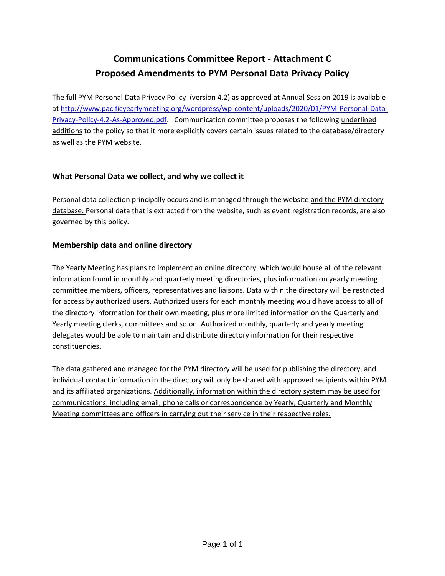## **Communications Committee Report - Attachment C Proposed Amendments to PYM Personal Data Privacy Policy**

The full PYM Personal Data Privacy Policy (version 4.2) as approved at Annual Session 2019 is available at [http://www.pacificyearlymeeting.org/wordpress/wp-content/uploads/2020/01/PYM-Personal-Data-](http://www.pacificyearlymeeting.org/wordpress/wp-content/uploads/2020/01/PYM-Personal-Data-Privacy-Policy-4.2-As-Approved.pdf)[Privacy-Policy-4.2-As-Approved.pdf.](http://www.pacificyearlymeeting.org/wordpress/wp-content/uploads/2020/01/PYM-Personal-Data-Privacy-Policy-4.2-As-Approved.pdf) Communication committee proposes the following underlined additions to the policy so that it more explicitly covers certain issues related to the database/directory as well as the PYM website.

#### **What Personal Data we collect, and why we collect it**

Personal data collection principally occurs and is managed through the website and the PYM directory database. Personal data that is extracted from the website, such as event registration records, are also governed by this policy.

#### **Membership data and online directory**

The Yearly Meeting has plans to implement an online directory, which would house all of the relevant information found in monthly and quarterly meeting directories, plus information on yearly meeting committee members, officers, representatives and liaisons. Data within the directory will be restricted for access by authorized users. Authorized users for each monthly meeting would have access to all of the directory information for their own meeting, plus more limited information on the Quarterly and Yearly meeting clerks, committees and so on. Authorized monthly, quarterly and yearly meeting delegates would be able to maintain and distribute directory information for their respective constituencies.

The data gathered and managed for the PYM directory will be used for publishing the directory, and individual contact information in the directory will only be shared with approved recipients within PYM and its affiliated organizations. Additionally, information within the directory system may be used for communications, including email, phone calls or correspondence by Yearly, Quarterly and Monthly Meeting committees and officers in carrying out their service in their respective roles.